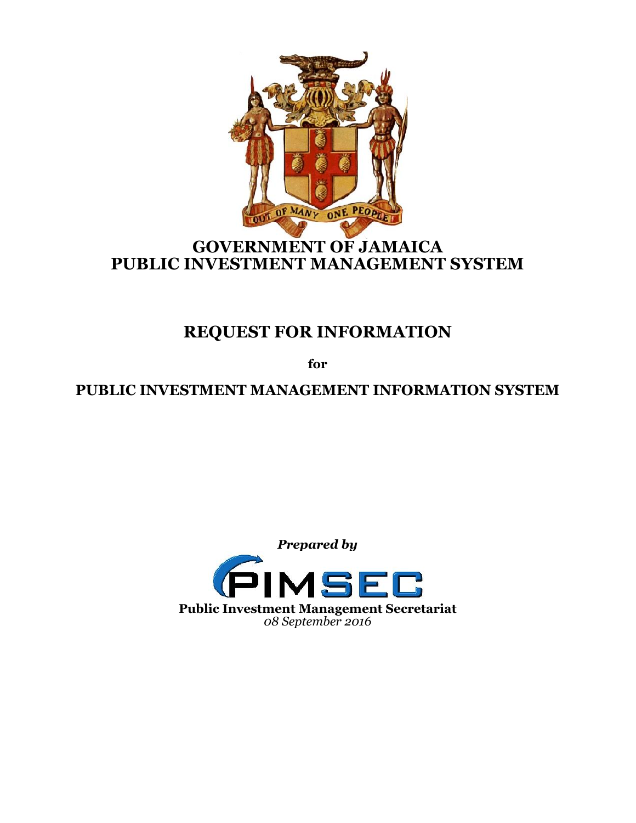

# **GOVERNMENT OF JAMAICA PUBLIC INVESTMENT MANAGEMENT SYSTEM**

# **REQUEST FOR INFORMATION**

**for**

# **PUBLIC INVESTMENT MANAGEMENT INFORMATION SYSTEM**

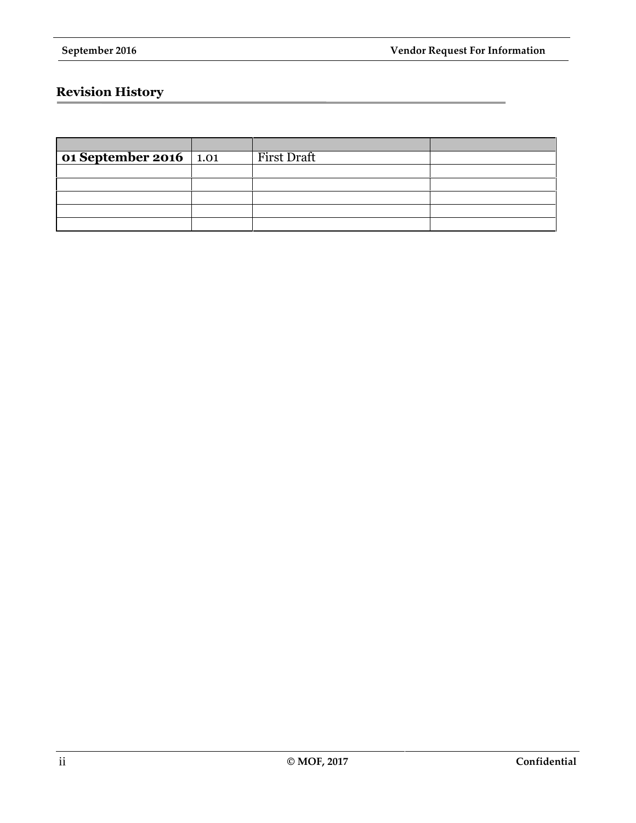# **Revision History**

| $\alpha$ 1 September 2016 1.01 | <b>First Draft</b> |  |
|--------------------------------|--------------------|--|
|                                |                    |  |
|                                |                    |  |
|                                |                    |  |
|                                |                    |  |
|                                |                    |  |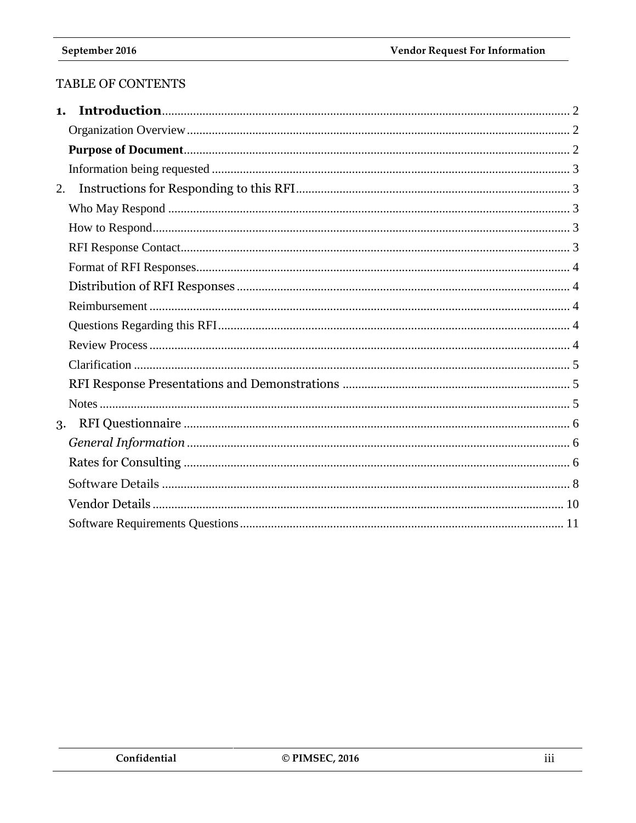# TABLE OF CONTENTS

| 1. |  |
|----|--|
|    |  |
|    |  |
|    |  |
| 2. |  |
|    |  |
|    |  |
|    |  |
|    |  |
|    |  |
|    |  |
|    |  |
|    |  |
|    |  |
|    |  |
|    |  |
| 3. |  |
|    |  |
|    |  |
|    |  |
|    |  |
|    |  |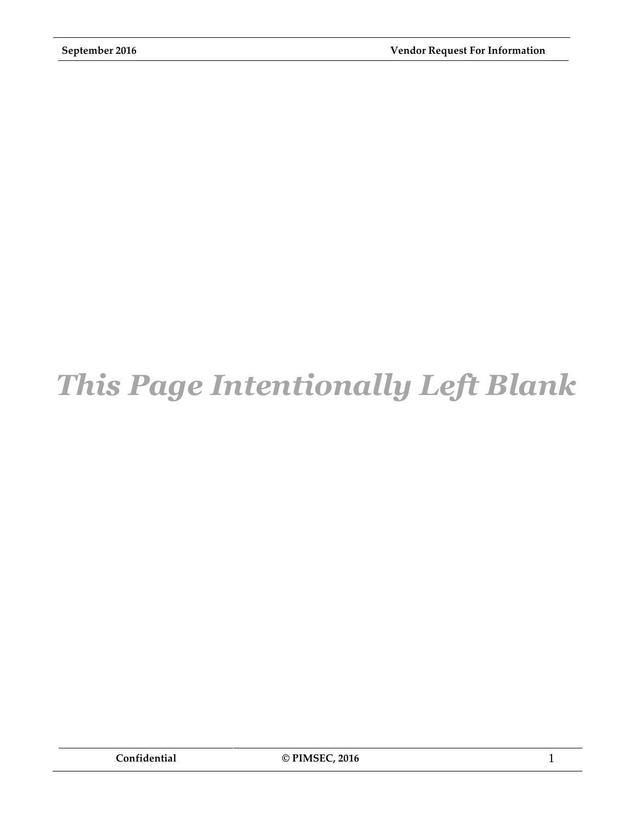# *This Page Intentionally Left Blank*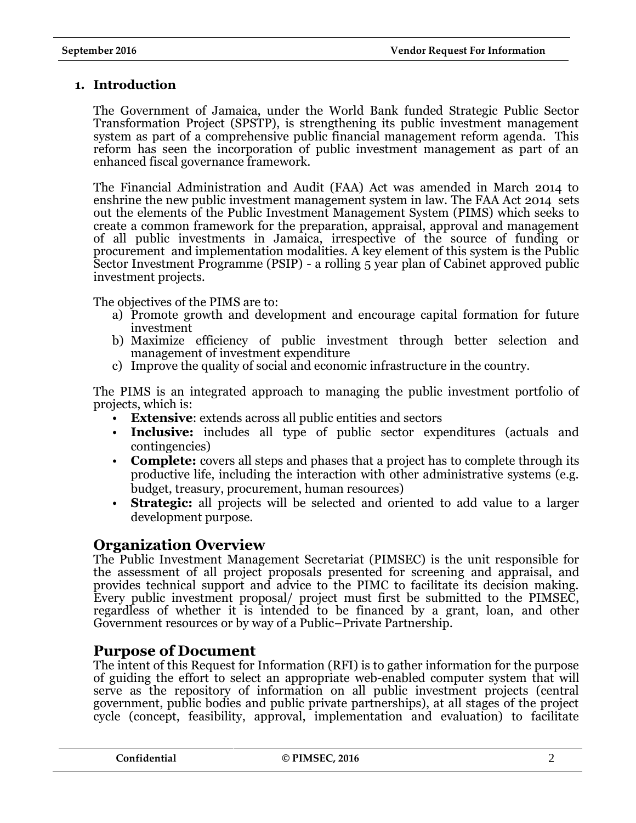#### **1. Introduction**

The Government of Jamaica, under the World Bank funded Strategic Public Sector Transformation Project (SPSTP), is strengthening its public investment management system as part of a comprehensive public financial management reform agenda. This reform has seen the incorporation of public investment management as part of an enhanced fiscal governance framework.

The Financial Administration and Audit (FAA) Act was amended in March 2014 to enshrine the new public investment management system in law. The FAA Act 2014 sets out the elements of the Public Investment Management System (PIMS) which seeks to create a common framework for the preparation, appraisal, approval and management of all public investments in Jamaica, irrespective of the source of funding or procurement and implementation modalities. A key element of this system is the Public Sector Investment Programme (PSIP) - a rolling 5 year plan of Cabinet approved public investment projects.

The objectives of the PIMS are to:

- a) Promote growth and development and encourage capital formation for future investment
- b) Maximize efficiency of public investment through better selection and management of investment expenditure
- c) Improve the quality of social and economic infrastructure in the country.

The PIMS is an integrated approach to managing the public investment portfolio of projects, which is:

- **Extensive**: extends across all public entities and sectors
- **Inclusive:** includes all type of public sector expenditures (actuals and contingencies)
- **Complete:** covers all steps and phases that a project has to complete through its productive life, including the interaction with other administrative systems (e.g. budget, treasury, procurement, human resources)
- **Strategic:** all projects will be selected and oriented to add value to a larger development purpose.

## **Organization Overview**

The Public Investment Management Secretariat (PIMSEC) is the unit responsible for the assessment of all project proposals presented for screening and appraisal, and provides technical support and advice to the PIMC to facilitate its decision making. Every public investment proposal/ project must first be submitted to the PIMSEC, regardless of whether it is intended to be financed by a grant, loan, and other Government resources or by way of a Public–Private Partnership.

#### **Purpose of Document**

The intent of this Request for Information (RFI) is to gather information for the purpose of guiding the effort to select an appropriate web-enabled computer system that will serve as the repository of information on all public investment projects (central government, public bodies and public private partnerships), at all stages of the project cycle (concept, feasibility, approval, implementation and evaluation) to facilitate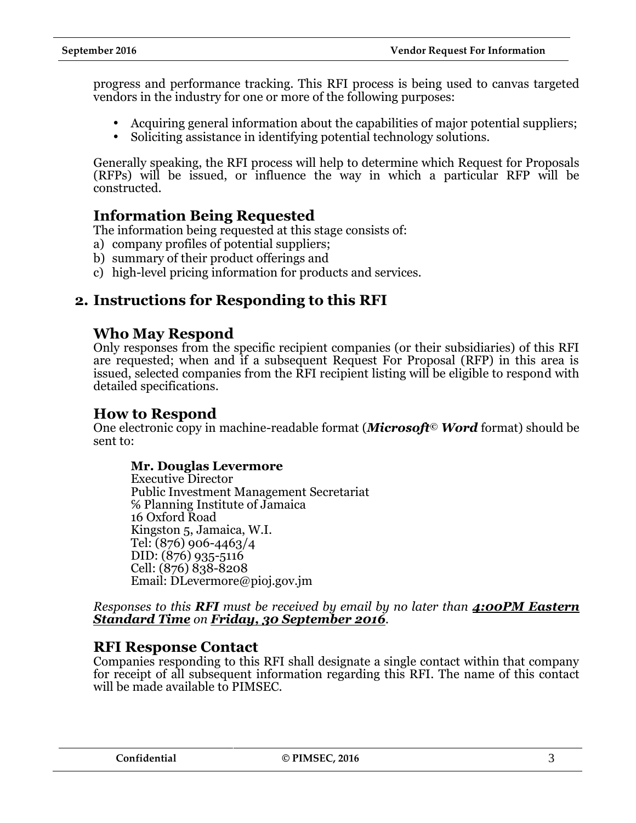progress and performance tracking. This RFI process is being used to canvas targeted vendors in the industry for one or more of the following purposes:

- Acquiring general information about the capabilities of major potential suppliers;
- Soliciting assistance in identifying potential technology solutions.

Generally speaking, the RFI process will help to determine which Request for Proposals (RFPs) will be issued, or influence the way in which a particular RFP will be constructed.

# **Information Being Requested**

The information being requested at this stage consists of:

- a) company profiles of potential suppliers;
- b) summary of their product offerings and
- c) high-level pricing information for products and services.

# **2. Instructions for Responding to this RFI**

#### **Who May Respond**

Only responses from the specific recipient companies (or their subsidiaries) of this RFI are requested; when and if a subsequent Request For Proposal (RFP) in this area is issued, selected companies from the RFI recipient listing will be eligible to respond with detailed specifications.

#### **How to Respond**

One electronic copy in machine-readable format (*Microsoft***©** *Word* format) should be sent to:

#### **Mr. Douglas Levermore**

Executive Director Public Investment Management Secretariat ℅ Planning Institute of Jamaica 16 Oxford Road Kingston 5, Jamaica, W.I. Tel: (876) 906-4463/4 DID: (876) 935-5116 Cell: (876) 838-8208 Email: DLevermore@pioj.gov.jm

*Responses to this RFI must be received by email by no later than 4:00PM Eastern Standard Time on Friday, 30 September 2016.*

#### **RFI Response Contact**

Companies responding to this RFI shall designate a single contact within that company for receipt of all subsequent information regarding this RFI. The name of this contact will be made available to PIMSEC.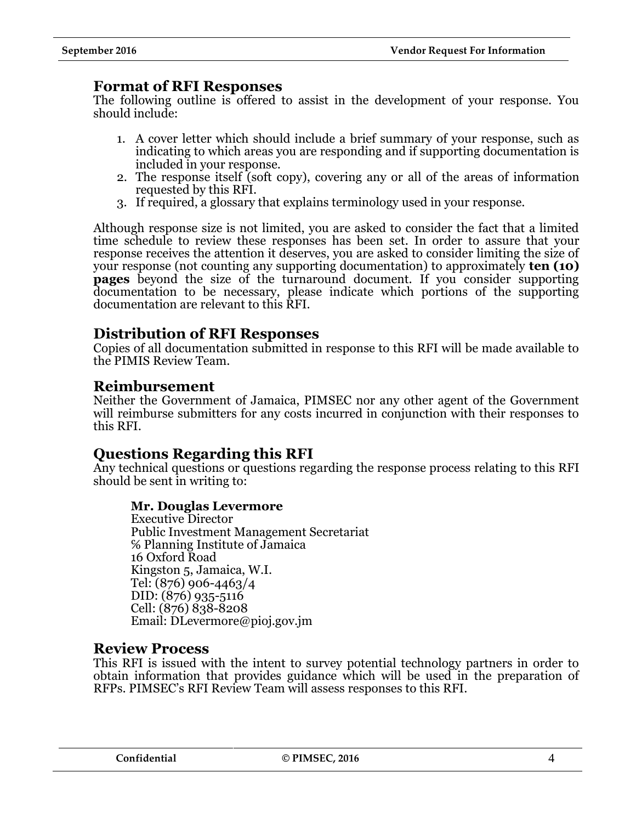#### **Format of RFI Responses**

The following outline is offered to assist in the development of your response. You should include:

- 1. A cover letter which should include a brief summary of your response, such as indicating to which areas you are responding and if supporting documentation is included in your response.
- 2. The response itself (soft copy), covering any or all of the areas of information requested by this RFI.
- 3. If required, a glossary that explains terminology used in your response.

Although response size is not limited, you are asked to consider the fact that a limited time schedule to review these responses has been set. In order to assure that your response receives the attention it deserves, you are asked to consider limiting the size of your response (not counting any supporting documentation) to approximately **ten (10) pages** beyond the size of the turnaround document. If you consider supporting documentation to be necessary, please indicate which portions of the supporting documentation are relevant to this RFI.

# **Distribution of RFI Responses**

Copies of all documentation submitted in response to this RFI will be made available to the PIMIS Review Team.

# **Reimbursement**

Neither the Government of Jamaica, PIMSEC nor any other agent of the Government will reimburse submitters for any costs incurred in conjunction with their responses to this RFI.

# **Questions Regarding this RFI**

Any technical questions or questions regarding the response process relating to this RFI should be sent in writing to:

#### **Mr. Douglas Levermore**

Executive Director Public Investment Management Secretariat ℅ Planning Institute of Jamaica 16 Oxford Road Kingston 5, Jamaica, W.I. Tel: (876) 906-4463/4 DID: (876) 935-5116 Cell: (876) 838-8208 Email: DLevermore@pioj.gov.jm

#### **Review Process**

This RFI is issued with the intent to survey potential technology partners in order to obtain information that provides guidance which will be used in the preparation of RFPs. PIMSEC's RFI Review Team will assess responses to this RFI.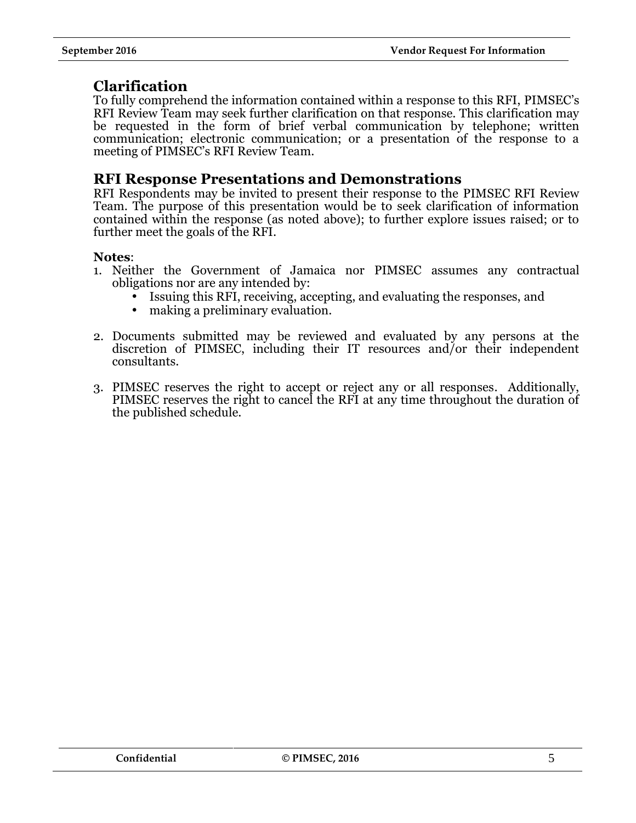# **Clarification**

To fully comprehend the information contained within a response to this RFI, PIMSEC's RFI Review Team may seek further clarification on that response. This clarification may be requested in the form of brief verbal communication by telephone; written communication; electronic communication; or a presentation of the response to a meeting of PIMSEC's RFI Review Team.

## **RFI Response Presentations and Demonstrations**

RFI Respondents may be invited to present their response to the PIMSEC RFI Review Team. The purpose of this presentation would be to seek clarification of information contained within the response (as noted above); to further explore issues raised; or to further meet the goals of the RFI.

#### **Notes**:

- 1. Neither the Government of Jamaica nor PIMSEC assumes any contractual obligations nor are any intended by:
	- Issuing this RFI, receiving, accepting, and evaluating the responses, and
	- making a preliminary evaluation.
- 2. Documents submitted may be reviewed and evaluated by any persons at the discretion of PIMSEC, including their IT resources and/or their independent consultants.
- 3. PIMSEC reserves the right to accept or reject any or all responses. Additionally, PIMSEC reserves the right to cancel the RFI at any time throughout the duration of the published schedule.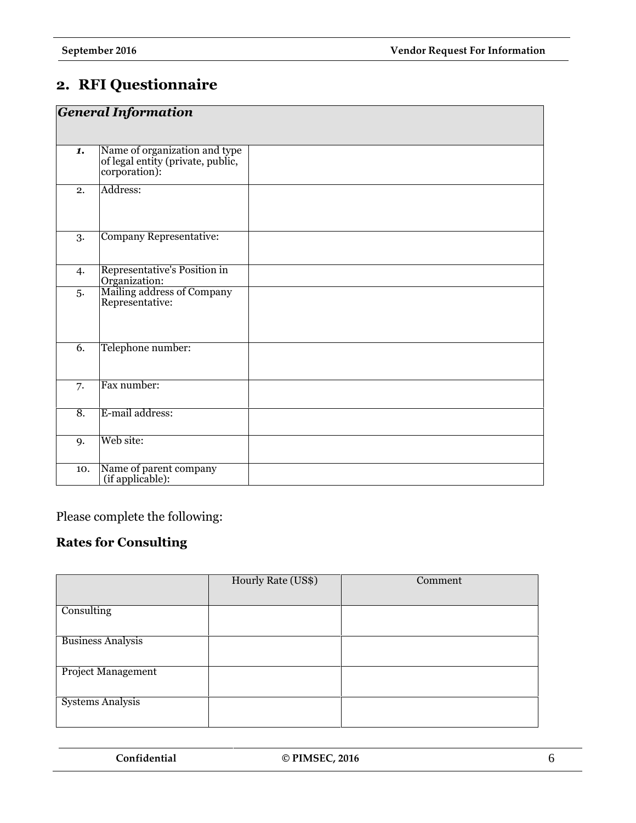# **2. RFI Questionnaire**

|     | <b>General Information</b>                                                          |  |
|-----|-------------------------------------------------------------------------------------|--|
| 1.  | Name of organization and type<br>of legal entity (private, public,<br>corporation): |  |
| 2.  | Address:                                                                            |  |
| 3.  | <b>Company Representative:</b>                                                      |  |
| 4.  | Representative's Position in                                                        |  |
| 5.  | Organization:<br>Mailing address of Company<br>Representative:                      |  |
| 6.  | Telephone number:                                                                   |  |
| 7.  | Fax number:                                                                         |  |
| 8.  | E-mail address:                                                                     |  |
| 9.  | Web site:                                                                           |  |
| 10. | Name of parent company<br>(if applicable):                                          |  |

Please complete the following:

### **Rates for Consulting**

|                           | Hourly Rate (US\$) | Comment |
|---------------------------|--------------------|---------|
|                           |                    |         |
| Consulting                |                    |         |
|                           |                    |         |
| <b>Business Analysis</b>  |                    |         |
|                           |                    |         |
| <b>Project Management</b> |                    |         |
|                           |                    |         |
| <b>Systems Analysis</b>   |                    |         |
|                           |                    |         |

| © PIMSEC, 2016<br><b>Confidential</b><br>. . |  |
|----------------------------------------------|--|
|----------------------------------------------|--|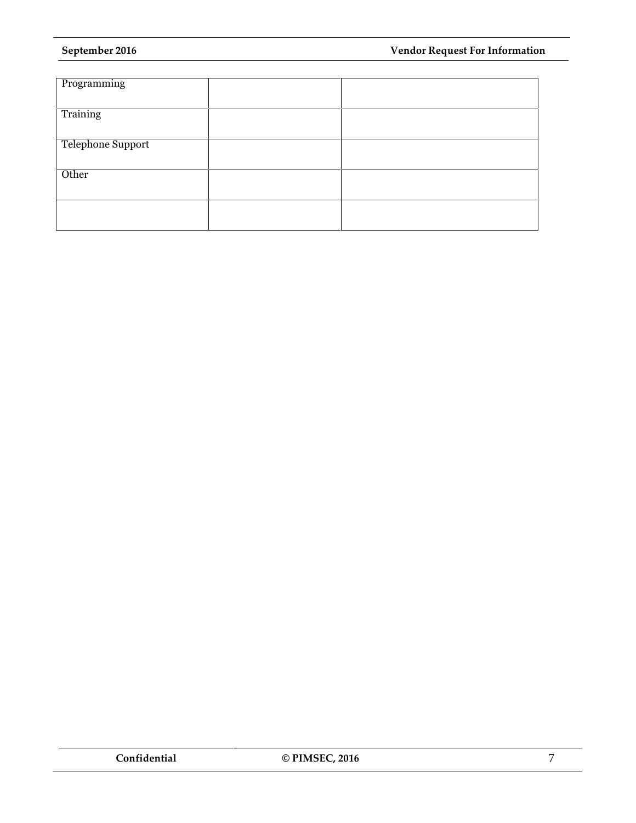| Programming       |  |
|-------------------|--|
|                   |  |
| Training          |  |
|                   |  |
| Telephone Support |  |
|                   |  |
| Other             |  |
|                   |  |
|                   |  |
|                   |  |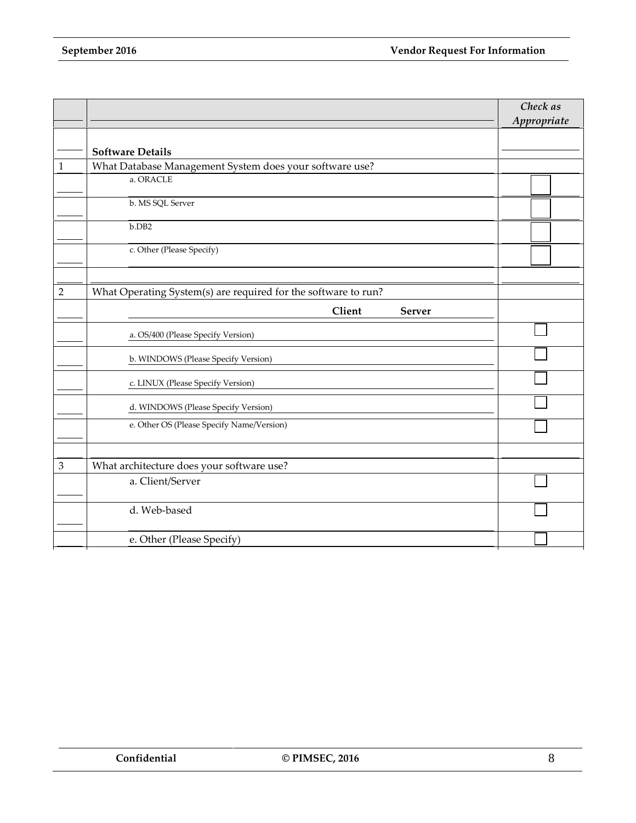|                |                                                                | Check as<br>Appropriate |
|----------------|----------------------------------------------------------------|-------------------------|
|                |                                                                |                         |
|                | <b>Software Details</b>                                        |                         |
| $\mathbf{1}$   | What Database Management System does your software use?        |                         |
|                | a. ORACLE                                                      |                         |
|                | b. MS SQL Server                                               |                         |
|                | b.DB2                                                          |                         |
|                | c. Other (Please Specify)                                      |                         |
|                |                                                                |                         |
| $\overline{2}$ | What Operating System(s) are required for the software to run? |                         |
|                | Client<br><b>Server</b>                                        |                         |
|                | a. OS/400 (Please Specify Version)                             |                         |
|                | b. WINDOWS (Please Specify Version)                            |                         |
|                | c. LINUX (Please Specify Version)                              |                         |
|                | d. WINDOWS (Please Specify Version)                            |                         |
|                | e. Other OS (Please Specify Name/Version)                      |                         |
|                |                                                                |                         |
| 3              | What architecture does your software use?                      |                         |
|                | a. Client/Server                                               |                         |
|                | d. Web-based                                                   |                         |
|                | e. Other (Please Specify)                                      |                         |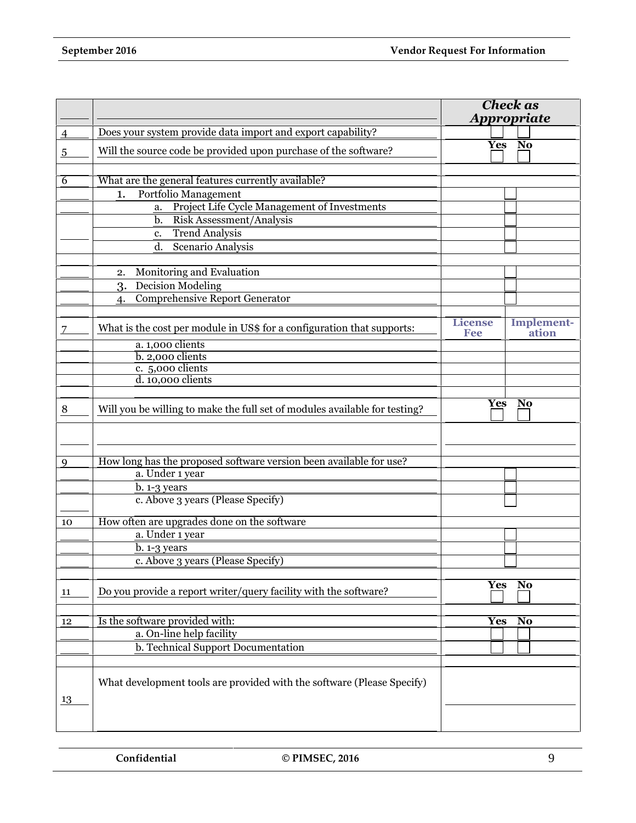|                |                                                                                                                                              |                       | <b>Check as</b> |                        | <b>Appropriate</b>         |
|----------------|----------------------------------------------------------------------------------------------------------------------------------------------|-----------------------|-----------------|------------------------|----------------------------|
| $\overline{4}$ | Does your system provide data import and export capability?                                                                                  |                       |                 |                        |                            |
| $\overline{5}$ | Will the source code be provided upon purchase of the software?                                                                              |                       | Yes             | $\overline{\text{No}}$ |                            |
| 6              | What are the general features currently available?                                                                                           |                       |                 |                        |                            |
|                | Portfolio Management<br>1.                                                                                                                   |                       |                 |                        |                            |
|                | Project Life Cycle Management of Investments<br>a.                                                                                           |                       |                 |                        |                            |
|                | $b$ .<br><b>Risk Assessment/Analysis</b>                                                                                                     |                       |                 |                        |                            |
|                | <b>Trend Analysis</b><br>c.                                                                                                                  |                       |                 |                        |                            |
|                | Scenario Analysis<br>d.                                                                                                                      |                       |                 |                        |                            |
|                | Monitoring and Evaluation<br>2.                                                                                                              |                       |                 |                        |                            |
|                | <b>Decision Modeling</b><br>3.                                                                                                               |                       |                 |                        |                            |
|                | <b>Comprehensive Report Generator</b><br>$\boldsymbol{4}$                                                                                    |                       |                 |                        |                            |
|                | What is the cost per module in US\$ for a configuration that supports:                                                                       | License<br><b>Fee</b> |                 |                        | <b>Implement-</b><br>ation |
|                | a. 1,000 clients                                                                                                                             |                       |                 |                        |                            |
|                | b. 2,000 clients                                                                                                                             |                       |                 |                        |                            |
|                | c. 5,000 clients                                                                                                                             |                       |                 |                        |                            |
|                | d. 10,000 clients                                                                                                                            |                       |                 |                        |                            |
| 8              | Will you be willing to make the full set of modules available for testing?                                                                   |                       | Yes             | No                     |                            |
| 9              | How long has the proposed software version been available for use?<br>a. Under 1 year<br>$b. 1-3$ years<br>c. Above 3 years (Please Specify) |                       |                 |                        |                            |
| 10             | How often are upgrades done on the software                                                                                                  |                       |                 |                        |                            |
|                | a. Under 1 year                                                                                                                              |                       |                 |                        |                            |
|                | b. 1-3 years                                                                                                                                 |                       |                 |                        |                            |
|                | c. Above 3 years (Please Specify)                                                                                                            |                       |                 |                        |                            |
| 11             | Do you provide a report writer/query facility with the software?                                                                             |                       | <b>Yes</b>      | No                     |                            |
| 12             | Is the software provided with:                                                                                                               |                       | <b>Yes</b>      | N <sub>0</sub>         |                            |
|                | a. On-line help facility                                                                                                                     |                       |                 |                        |                            |
|                | b. Technical Support Documentation                                                                                                           |                       |                 |                        |                            |
| 13             | What development tools are provided with the software (Please Specify)                                                                       |                       |                 |                        |                            |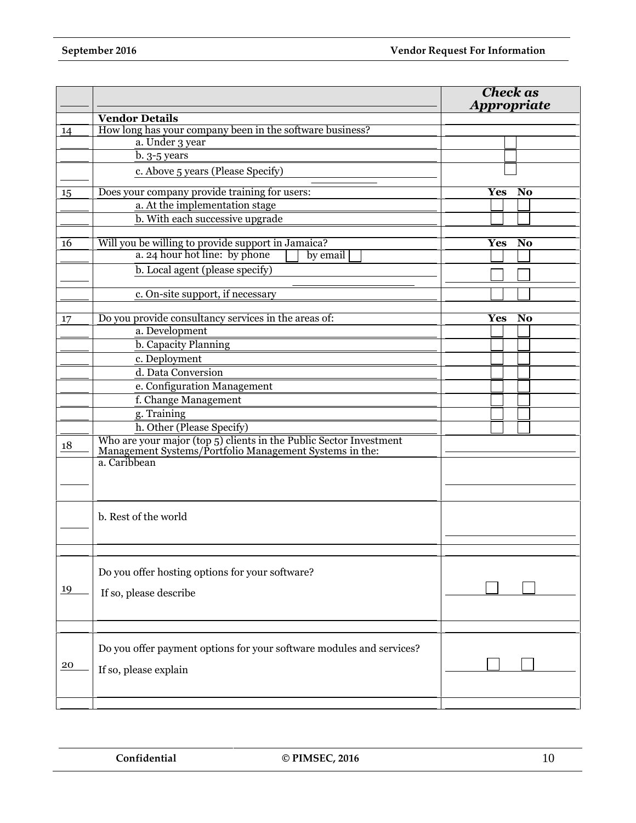|           |                                                                      |            | <b>Check</b> as<br>Appropriate |
|-----------|----------------------------------------------------------------------|------------|--------------------------------|
|           | <b>Vendor Details</b>                                                |            |                                |
| 14        | How long has your company been in the software business?             |            |                                |
|           | a. Under 3 year                                                      |            |                                |
|           | $b.3 - 5$ years                                                      |            |                                |
|           | c. Above 5 years (Please Specify)                                    |            |                                |
| 15        | Does your company provide training for users:                        | <b>Yes</b> | <b>No</b>                      |
|           | a. At the implementation stage                                       |            |                                |
|           | b. With each successive upgrade                                      |            |                                |
| 16        | Will you be willing to provide support in Jamaica?                   | <b>Yes</b> | N <sub>0</sub>                 |
|           | a. 24 hour hot line: by phone<br>by email                            |            |                                |
|           | b. Local agent (please specify)                                      |            |                                |
|           |                                                                      |            |                                |
|           | c. On-site support, if necessary                                     |            |                                |
| 17        | Do you provide consultancy services in the areas of:                 | <b>Yes</b> | N <sub>0</sub>                 |
|           | a. Development                                                       |            |                                |
|           | b. Capacity Planning                                                 |            |                                |
|           | c. Deployment                                                        |            |                                |
|           | d. Data Conversion                                                   |            |                                |
|           | e. Configuration Management                                          |            |                                |
|           | f. Change Management                                                 |            |                                |
|           | g. Training                                                          |            |                                |
|           | h. Other (Please Specify)                                            |            |                                |
|           | Who are your major (top 5) clients in the Public Sector Investment   |            |                                |
| 18        | Management Systems/Portfolio Management Systems in the:              |            |                                |
|           | a. Caribbean                                                         |            |                                |
|           |                                                                      |            |                                |
|           |                                                                      |            |                                |
|           | b. Rest of the world                                                 |            |                                |
|           |                                                                      |            |                                |
|           |                                                                      |            |                                |
|           | Do you offer hosting options for your software?                      |            |                                |
| <u>19</u> | If so, please describe                                               |            |                                |
|           |                                                                      |            |                                |
|           |                                                                      |            |                                |
|           | Do you offer payment options for your software modules and services? |            |                                |
| 20        |                                                                      |            |                                |
|           | If so, please explain                                                |            |                                |
|           |                                                                      |            |                                |
|           |                                                                      |            |                                |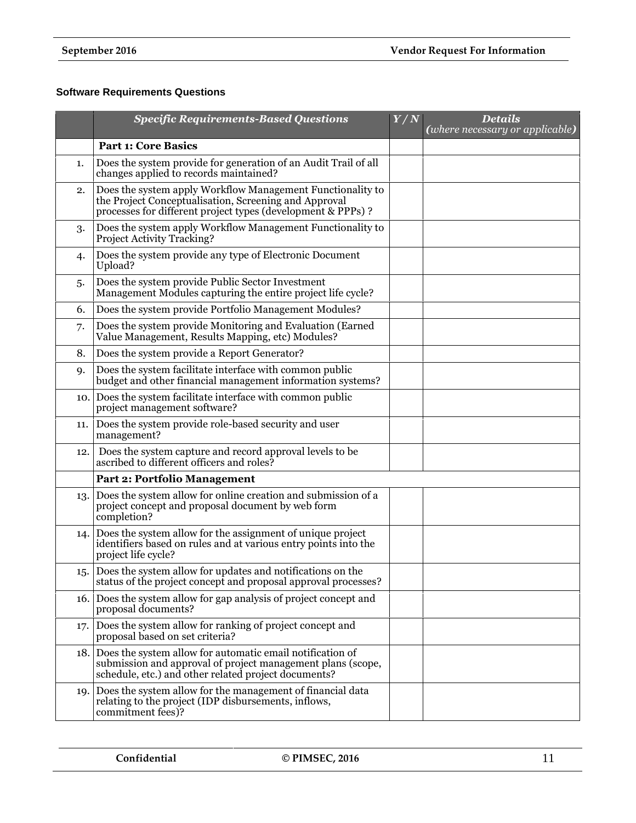#### **Software Requirements Questions**

|      | <b>Specific Requirements-Based Questions</b>                                                                                                                                         | Y/N | <b>Details</b><br>(where necessary or applicable) |
|------|--------------------------------------------------------------------------------------------------------------------------------------------------------------------------------------|-----|---------------------------------------------------|
|      | <b>Part 1: Core Basics</b>                                                                                                                                                           |     |                                                   |
| 1.   | Does the system provide for generation of an Audit Trail of all<br>changes applied to records maintained?                                                                            |     |                                                   |
| 2.   | Does the system apply Workflow Management Functionality to<br>the Project Conceptualisation, Screening and Approval<br>processes for different project types (development & PPPs) ?  |     |                                                   |
| 3.   | Does the system apply Workflow Management Functionality to<br><b>Project Activity Tracking?</b>                                                                                      |     |                                                   |
| 4.   | Does the system provide any type of Electronic Document<br>Upload?                                                                                                                   |     |                                                   |
| 5.   | Does the system provide Public Sector Investment<br>Management Modules capturing the entire project life cycle?                                                                      |     |                                                   |
| 6.   | Does the system provide Portfolio Management Modules?                                                                                                                                |     |                                                   |
| 7.   | Does the system provide Monitoring and Evaluation (Earned<br>Value Management, Results Mapping, etc) Modules?                                                                        |     |                                                   |
| 8.   | Does the system provide a Report Generator?                                                                                                                                          |     |                                                   |
| 9.   | Does the system facilitate interface with common public<br>budget and other financial management information systems?                                                                |     |                                                   |
| 10.  | Does the system facilitate interface with common public<br>project management software?                                                                                              |     |                                                   |
| 11.  | Does the system provide role-based security and user<br>management?                                                                                                                  |     |                                                   |
| 12.  | Does the system capture and record approval levels to be<br>ascribed to different officers and roles?                                                                                |     |                                                   |
|      | Part 2: Portfolio Management                                                                                                                                                         |     |                                                   |
| 13.  | Does the system allow for online creation and submission of a<br>project concept and proposal document by web form<br>completion?                                                    |     |                                                   |
| 14.  | Does the system allow for the assignment of unique project<br>identifiers based on rules and at various entry points into the<br>project life cycle?                                 |     |                                                   |
| 15.1 | Does the system allow for updates and notifications on the<br>status of the project concept and proposal approval processes?                                                         |     |                                                   |
| 16.  | Does the system allow for gap analysis of project concept and<br>proposal documents?                                                                                                 |     |                                                   |
| 17.  | Does the system allow for ranking of project concept and<br>proposal based on set criteria?                                                                                          |     |                                                   |
|      | 18. Does the system allow for automatic email notification of<br>submission and approval of project management plans (scope,<br>schedule, etc.) and other related project documents? |     |                                                   |
| 19.  | Does the system allow for the management of financial data<br>relating to the project (IDP disbursements, inflows,<br>commitment fees)?                                              |     |                                                   |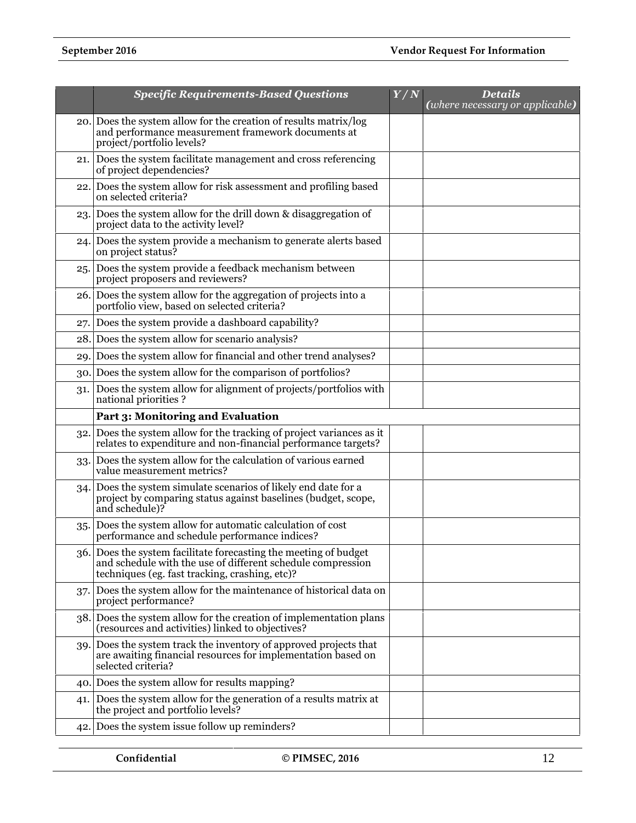|      | <b>Specific Requirements-Based Questions</b>                                                                                                                                      | Y/N | <b>Details</b><br>(where necessary or applicable) |
|------|-----------------------------------------------------------------------------------------------------------------------------------------------------------------------------------|-----|---------------------------------------------------|
| 20.1 | Does the system allow for the creation of results matrix/log<br>and performance measurement framework documents at<br>project/portfolio levels?                                   |     |                                                   |
| 21.  | Does the system facilitate management and cross referencing<br>of project dependencies?                                                                                           |     |                                                   |
| 22.1 | Does the system allow for risk assessment and profiling based<br>on selected criteria?                                                                                            |     |                                                   |
| 23.  | Does the system allow for the drill down & disaggregation of<br>project data to the activity level?                                                                               |     |                                                   |
| 24.  | Does the system provide a mechanism to generate alerts based<br>on project status?                                                                                                |     |                                                   |
| 25.  | Does the system provide a feedback mechanism between<br>project proposers and reviewers?                                                                                          |     |                                                   |
| 26.  | Does the system allow for the aggregation of projects into a<br>portfolio view, based on selected criteria?                                                                       |     |                                                   |
| 27.  | Does the system provide a dashboard capability?                                                                                                                                   |     |                                                   |
| 28.  | Does the system allow for scenario analysis?                                                                                                                                      |     |                                                   |
| 29.  | Does the system allow for financial and other trend analyses?                                                                                                                     |     |                                                   |
| 30.  | Does the system allow for the comparison of portfolios?                                                                                                                           |     |                                                   |
| 31.  | Does the system allow for alignment of projects/portfolios with<br>national priorities?                                                                                           |     |                                                   |
|      | Part 3: Monitoring and Evaluation                                                                                                                                                 |     |                                                   |
| 32.1 | Does the system allow for the tracking of project variances as it relates to expenditure and non-financial performance targets?                                                   |     |                                                   |
| 33.  | Does the system allow for the calculation of various earned<br>value measurement metrics?                                                                                         |     |                                                   |
| 34.  | Does the system simulate scenarios of likely end date for a<br>project by comparing status against baselines (budget, scope,<br>and schedule)?                                    |     |                                                   |
| 35.  | Does the system allow for automatic calculation of cost<br>performance and schedule performance indices?                                                                          |     |                                                   |
|      | 36. Does the system facilitate forecasting the meeting of budget<br>and schedule with the use of different schedule compression<br>techniques (eg. fast tracking, crashing, etc)? |     |                                                   |
| 37.  | Does the system allow for the maintenance of historical data on<br>project performance?                                                                                           |     |                                                   |
|      | 38. Does the system allow for the creation of implementation plans<br>(resources and activities) linked to objectives?                                                            |     |                                                   |
| 39.  | Does the system track the inventory of approved projects that<br>are awaiting financial resources for implementation based on<br>selected criteria?                               |     |                                                   |
| 40.  | Does the system allow for results mapping?                                                                                                                                        |     |                                                   |
| 41.  | Does the system allow for the generation of a results matrix at<br>the project and portfolio levels?                                                                              |     |                                                   |
|      | 42. Does the system issue follow up reminders?                                                                                                                                    |     |                                                   |